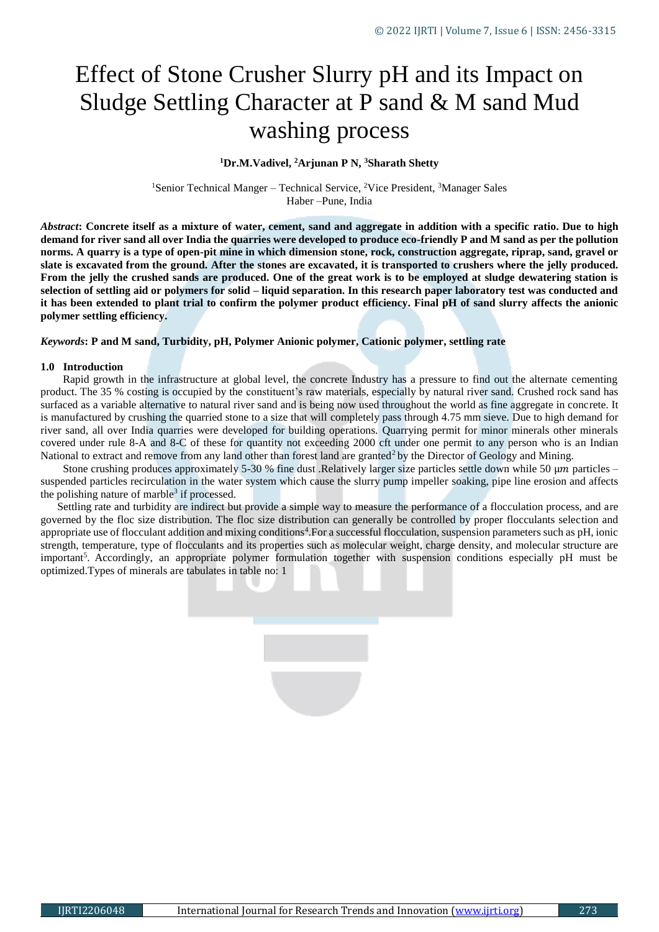# Effect of Stone Crusher Slurry pH and its Impact on Sludge Settling Character at P sand & M sand Mud washing process

# **<sup>1</sup>Dr.M.Vadivel, <sup>2</sup>Arjunan P N, <sup>3</sup>Sharath Shetty**

<sup>1</sup>Senior Technical Manger – Technical Service, <sup>2</sup>Vice President, <sup>3</sup>Manager Sales Haber –Pune, India

*Abstract***: Concrete itself as a mixture of water, cement, sand and aggregate in addition with a specific ratio. Due to high demand for river sand all over India the quarries were developed to produce eco-friendly P and M sand as per the pollution norms. A quarry is a type of open-pit mine in which dimension stone, rock, construction aggregate, riprap, sand, gravel or slate is excavated from the ground. After the stones are excavated, it is transported to crushers where the jelly produced. From the jelly the crushed sands are produced. One of the great work is to be employed at sludge dewatering station is selection of settling aid or polymers for solid – liquid separation. In this research paper laboratory test was conducted and it has been extended to plant trial to confirm the polymer product efficiency. Final pH of sand slurry affects the anionic polymer settling efficiency.**

# *Keywords***: P and M sand, Turbidity, pH, Polymer Anionic polymer, Cationic polymer, settling rate**

# **1.0 Introduction**

 Rapid growth in the infrastructure at global level, the concrete Industry has a pressure to find out the alternate cementing product. The 35 % costing is occupied by the constituent's raw materials, especially by natural river sand. Crushed rock sand has surfaced as a variable alternative to natural river sand and is being now used throughout the world as fine aggregate in concrete. It is manufactured by crushing the quarried stone to a size that will completely pass through 4.75 mm sieve. Due to high demand for river sand, all over India quarries were developed for building operations. Quarrying permit for minor minerals other minerals covered under rule 8-A and 8-C of these for quantity not exceeding 2000 cft under one permit to any person who is an Indian National to extract and remove from any land other than forest land are granted<sup>2</sup> by the Director of Geology and Mining.

Stone crushing produces approximately 5-30 % fine dust .Relatively larger size particles settle down while 50  $\mu$ m particles – suspended particles recirculation in the water system which cause the slurry pump impeller soaking, pipe line erosion and affects the polishing nature of marble<sup>3</sup> if processed.

 Settling rate and turbidity are indirect but provide a simple way to measure the performance of a flocculation process, and are governed by the floc size distribution. The floc size distribution can generally be controlled by proper flocculants selection and appropriate use of flocculant addition and mixing conditions<sup>4</sup>. For a successful flocculation, suspension parameters such as pH, ionic strength, temperature, type of flocculants and its properties such as molecular weight, charge density, and molecular structure are important<sup>5</sup>. Accordingly, an appropriate polymer formulation together with suspension conditions especially pH must be optimized.Types of minerals are tabulates in table no: 1

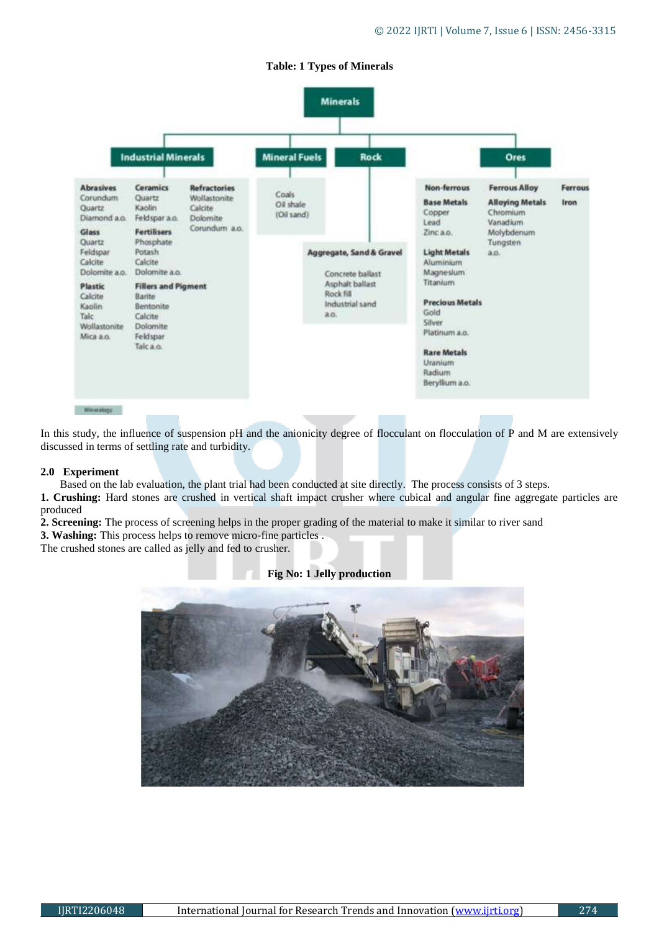# **Table: 1 Types of Minerals**



In this study, the influence of suspension pH and the anionicity degree of flocculant on flocculation of P and M are extensively discussed in terms of settling rate and turbidity.

### **2.0 Experiment**

Based on the lab evaluation, the plant trial had been conducted at site directly. The process consists of 3 steps.

**1. Crushing:** Hard stones are crushed in vertical shaft impact crusher where cubical and angular fine aggregate particles are produced

**Fig No: 1 Jelly production**

**2. Screening:** The process of screening helps in the proper grading of the material to make it similar to river sand

**3. Washing:** This process helps to remove micro-fine particles .

The crushed stones are called as jelly and fed to crusher.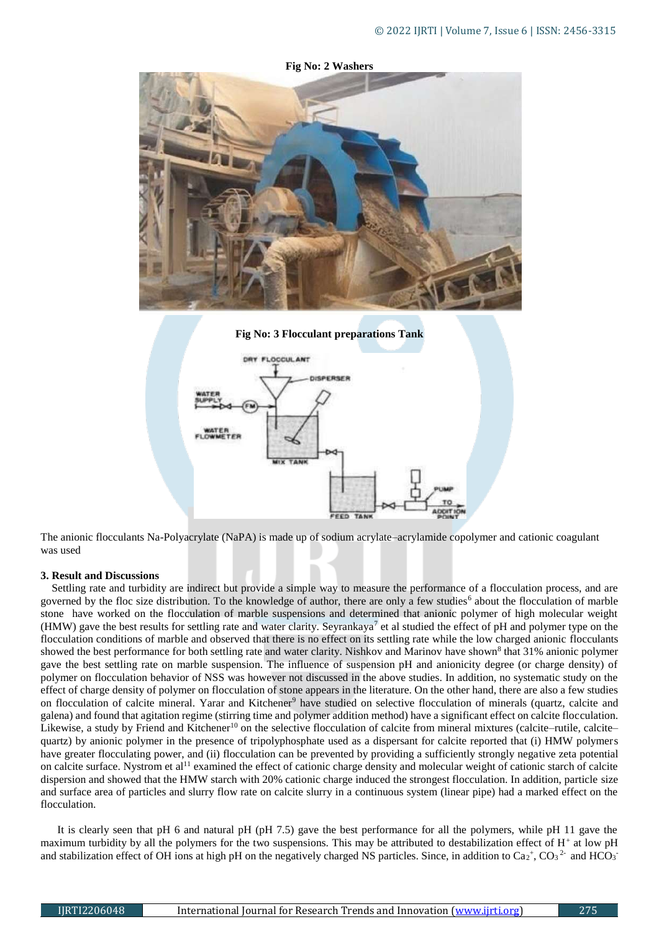

The anionic flocculants Na-Polyacrylate (NaPA) is made up of sodium acrylate–acrylamide copolymer and cationic coagulant was used

# **3. Result and Discussions**

Settling rate and turbidity are indirect but provide a simple way to measure the performance of a flocculation process, and are governed by the floc size distribution. To the knowledge of author, there are only a few studies<sup>6</sup> about the flocculation of marble stone have worked on the flocculation of marble suspensions and determined that anionic polymer of high molecular weight (HMW) gave the best results for settling rate and water clarity. Seyrankaya<sup>7</sup> et al studied the effect of pH and polymer type on the flocculation conditions of marble and observed that there is no effect on its settling rate while the low charged anionic flocculants showed the best performance for both settling rate and water clarity. Nishkov and Marinov have shown<sup>8</sup> that 31% anionic polymer gave the best settling rate on marble suspension. The influence of suspension pH and anionicity degree (or charge density) of polymer on flocculation behavior of NSS was however not discussed in the above studies. In addition, no systematic study on the effect of charge density of polymer on flocculation of stone appears in the literature. On the other hand, there are also a few studies on flocculation of calcite mineral. Yarar and Kitchener<sup>9</sup> have studied on selective flocculation of minerals (quartz, calcite and galena) and found that agitation regime (stirring time and polymer addition method) have a significant effect on calcite flocculation. Likewise, a study by Friend and Kitchener<sup>10</sup> on the selective flocculation of calcite from mineral mixtures (calcite–rutile, calcite– quartz) by anionic polymer in the presence of tripolyphosphate used as a dispersant for calcite reported that (i) HMW polymers have greater flocculating power, and (ii) flocculation can be prevented by providing a sufficiently strongly negative zeta potential on calcite surface. Nystrom et al<sup>11</sup> examined the effect of cationic charge density and molecular weight of cationic starch of calcite dispersion and showed that the HMW starch with 20% cationic charge induced the strongest flocculation. In addition, particle size and surface area of particles and slurry flow rate on calcite slurry in a continuous system (linear pipe) had a marked effect on the flocculation.

 It is clearly seen that pH 6 and natural pH (pH 7.5) gave the best performance for all the polymers, while pH 11 gave the maximum turbidity by all the polymers for the two suspensions. This may be attributed to destabilization effect of H<sup>+</sup> at low pH and stabilization effect of OH ions at high pH on the negatively charged NS particles. Since, in addition to  $Ca_2$ <sup>+</sup>,  $CO_3$ <sup>2-</sup> and HCO<sub>3</sub><sup>-</sup>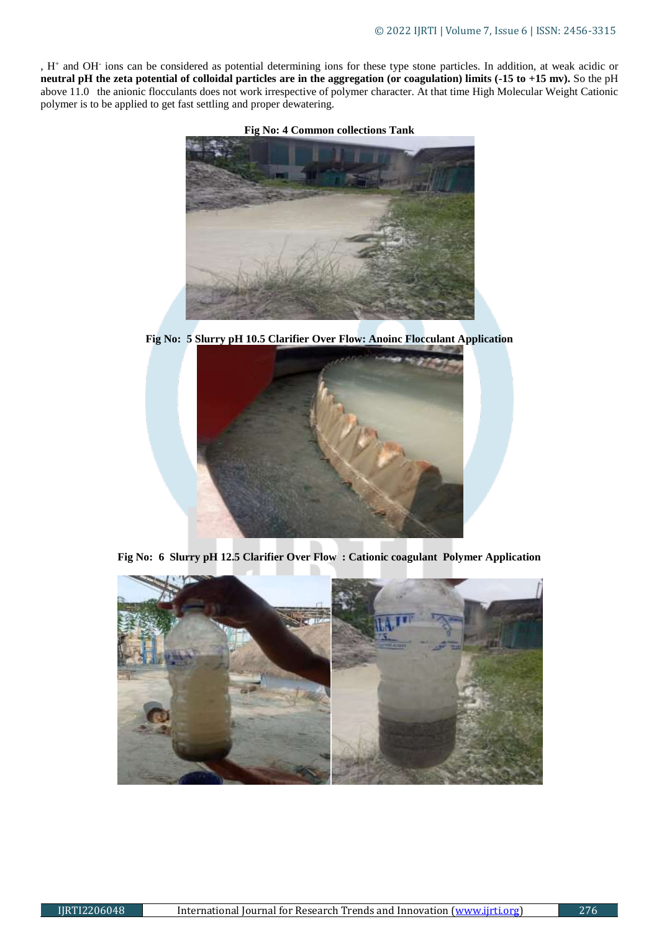, H<sup>+</sup> and OH-ions can be considered as potential determining ions for these type stone particles. In addition, at weak acidic or **neutral pH the zeta potential of colloidal particles are in the aggregation (or coagulation) limits (-15 to +15 mv).** So the pH above 11.0 the anionic flocculants does not work irrespective of polymer character. At that time High Molecular Weight Cationic polymer is to be applied to get fast settling and proper dewatering.



**Fig No: 5 Slurry pH 10.5 Clarifier Over Flow: Anoinc Flocculant Application**



**Fig No: 6 Slurry pH 12.5 Clarifier Over Flow : Cationic coagulant Polymer Application**